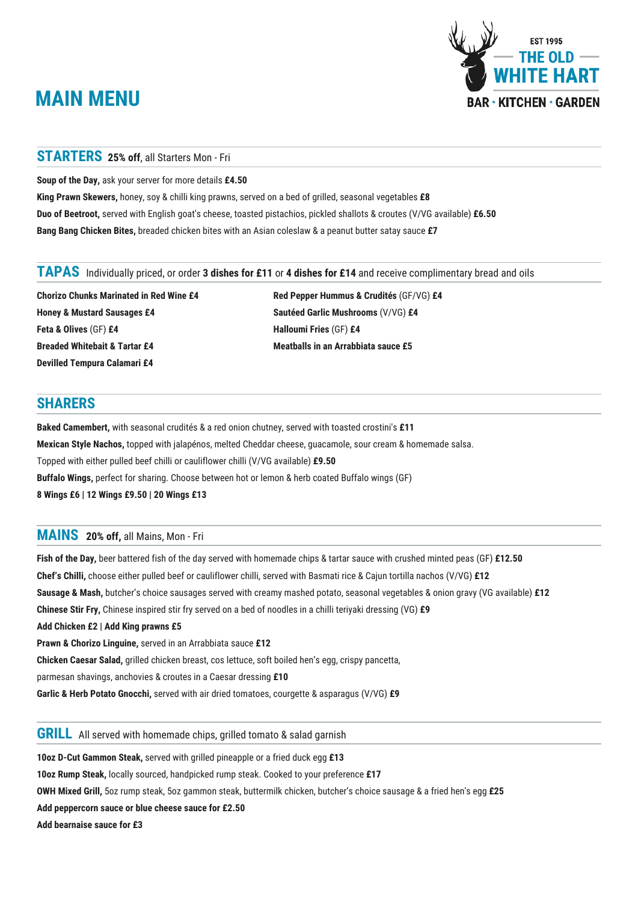# **MAIN MENU**



#### **STARTERS 25% off**, all Starters Mon - Fri

**Soup of the Day,** ask your server for more details **£4.50**

**King Prawn Skewers,** honey, soy & chilli king prawns, served on a bed of grilled, seasonal vegetables **£8 Duo of Beetroot,** served with English goat's cheese, toasted pistachios, pickled shallots & croutes (V/VG available) **£6.50 Bang Bang Chicken Bites,** breaded chicken bites with an Asian coleslaw & a peanut butter satay sauce **£7**

# Individually priced, or order **3 dishes for £11** or **4 dishes for £14** and receive complimentary bread and oils **TAPAS**

**Chorizo Chunks Marinated in Red Wine £4 Honey & Mustard Sausages £4 Feta & Olives** (GF) **£4 Breaded Whitebait & Tartar £4 Devilled Tempura Calamari £4**

**Red Pepper Hummus & Crudités** (GF/VG) **£4 Sautéed Garlic Mushrooms** (V/VG) **£4 Halloumi Fries** (GF) **£4 Meatballs in an Arrabbiata sauce £5**

## **SHARERS**

**Baked Camembert,** with seasonal crudités & a red onion chutney, served with toasted crostini's **£11 Mexican Style Nachos,** topped with jalapénos, melted Cheddar cheese, guacamole, sour cream & homemade salsa. Topped with either pulled beef chilli or cauliflower chilli (V/VG available) **£9.50 Buffalo Wings,** perfect for sharing. Choose between hot or lemon & herb coated Buffalo wings (GF) **8 Wings £6 | 12 Wings £9.50 | 20 Wings £13**

# **20% off,** all Mains, Mon - Fri **MAINS**

**Fish of the Day,** beer battered fish of the day served with homemade chips & tartar sauce with crushed minted peas (GF) **£12.50 Chef's Chilli,** choose either pulled beef or cauliflower chilli, served with Basmati rice & Cajun tortilla nachos (V/VG) **£12 Sausage & Mash,** butcher's choice sausages served with creamy mashed potato, seasonal vegetables & onion gravy (VG available) **£12 Chinese Stir Fry,** Chinese inspired stir fry served on a bed of noodles in a chilli teriyaki dressing (VG) **£9 Add Chicken £2 | Add King prawns £5 Prawn & Chorizo Linguine,** served in an Arrabbiata sauce **£12 Chicken Caesar Salad,** grilled chicken breast, cos lettuce, soft boiled hen's egg, crispy pancetta, parmesan shavings, anchovies & croutes in a Caesar dressing **£10 Garlic & Herb Potato Gnocchi,** served with air dried tomatoes, courgette & asparagus (V/VG) **£9**

# **GRILL** All served with homemade chips, grilled tomato & salad garnish

**10oz D-Cut Gammon Steak,** served with grilled pineapple or a fried duck egg **£13 10oz Rump Steak,** locally sourced, handpicked rump steak. Cooked to your preference **£17 OWH Mixed Grill,** 5oz rump steak, 5oz gammon steak, buttermilk chicken, butcher's choice sausage & a fried hen's egg **£25 Add peppercorn sauce or blue cheese sauce for £2.50 Add bearnaise sauce for £3**